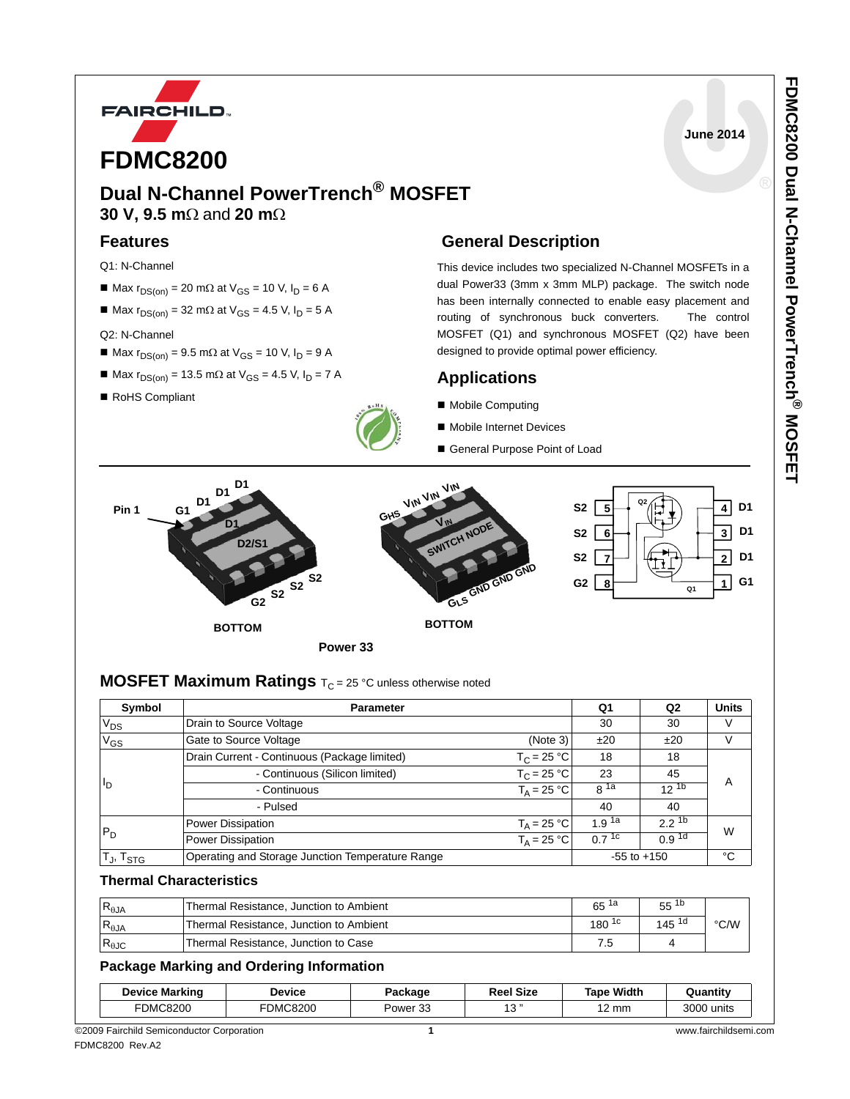

## **Dual N-Channel PowerTrench® MOSFET 30 V, 9.5 m**Ω and **20 m**Ω

### **Features**

- Q1: N-Channel
- Max  $r_{DS(on)} = 20$  m $\Omega$  at  $V_{GS} = 10$  V,  $I_D = 6$  A
- Max  $r_{DS(on)} = 32$  m $\Omega$  at  $V_{GS} = 4.5$  V,  $I_D = 5$  A

### Q2: N-Channel

- Max  $r_{DS(on)} = 9.5$  m $\Omega$  at  $V_{GS} = 10$  V,  $I_D = 9$  A
- $M = Max r<sub>DS(on)</sub> = 13.5 mΩ at V<sub>GS</sub> = 4.5 V, I<sub>D</sub> = 7 A$
- RoHS Compliant



### **General Description**

This device includes two specialized N-Channel MOSFETs in a dual Power33 (3mm x 3mm MLP) package. The switch node has been internally connected to enable easy placement and routing of synchronous buck converters. The control MOSFET (Q1) and synchronous MOSFET (Q2) have been designed to provide optimal power efficiency.

### **Applications**

- Mobile Computing
- Mobile Internet Devices
- General Purpose Point of Load



### **MOSFET Maximum Ratings**  $T_C = 25$  °C unless otherwise noted

| Symbol                            | <b>Parameter</b>                                 |                      | Q1                | Q2                | <b>Units</b> |
|-----------------------------------|--------------------------------------------------|----------------------|-------------------|-------------------|--------------|
| $V_{DS}$                          | Drain to Source Voltage                          |                      | 30                | 30                | V            |
| $V_{GS}$                          | Gate to Source Voltage<br>(Note 3)               |                      | ±20               | ±20               | V            |
|                                   | Drain Current - Continuous (Package limited)     | $T_C = 25 °C$        | 18                | 18                |              |
|                                   | - Continuous (Silicon limited)                   | $T_C = 25 °C$        | 23                | 45                | A            |
| llo                               | - Continuous                                     | $T_{\Delta}$ = 25 °C | g <sup>1a</sup>   | $12^{15}$         |              |
|                                   | - Pulsed                                         |                      | 40                | 40                |              |
|                                   | <b>Power Dissipation</b>                         | $T_A = 25 °C$        | 1.9 <sup>1a</sup> | $2.2^{1b}$        | W            |
| $P_D$                             | <b>Power Dissipation</b>                         | $T_A = 25 °C$        | $0.7^{1c}$        | 0.9 <sup>1d</sup> |              |
| T <sub>J</sub> , T <sub>STG</sub> | Operating and Storage Junction Temperature Range |                      |                   | $-55$ to $+150$   | °C           |

### **Thermal Characteristics**

| $R_{\theta$ JA | Thermal Resistance, Junction to Ambient | 65<br>1а   | $55^{1b}$  |      |
|----------------|-----------------------------------------|------------|------------|------|
| $R_{\theta$ JA | Thermal Resistance, Junction to Ambient | $180^{1c}$ | $145^{1d}$ | °C/W |
| $R_{\theta$ JC | Thermal Resistance, Junction to Case    | ں ،        |            |      |

### **Package Marking and Ordering Information**

| <b>Device Marking</b> | Device          | Package             | <b>Reel Size</b> | <b>Tape Width</b> | Quantity   |
|-----------------------|-----------------|---------------------|------------------|-------------------|------------|
| <b>FDMC8200</b>       | <b>FDMC8200</b> | Power <sub>33</sub> | <b>A (2)</b> 33  | 12 mm             | 3000 units |

**June 2014**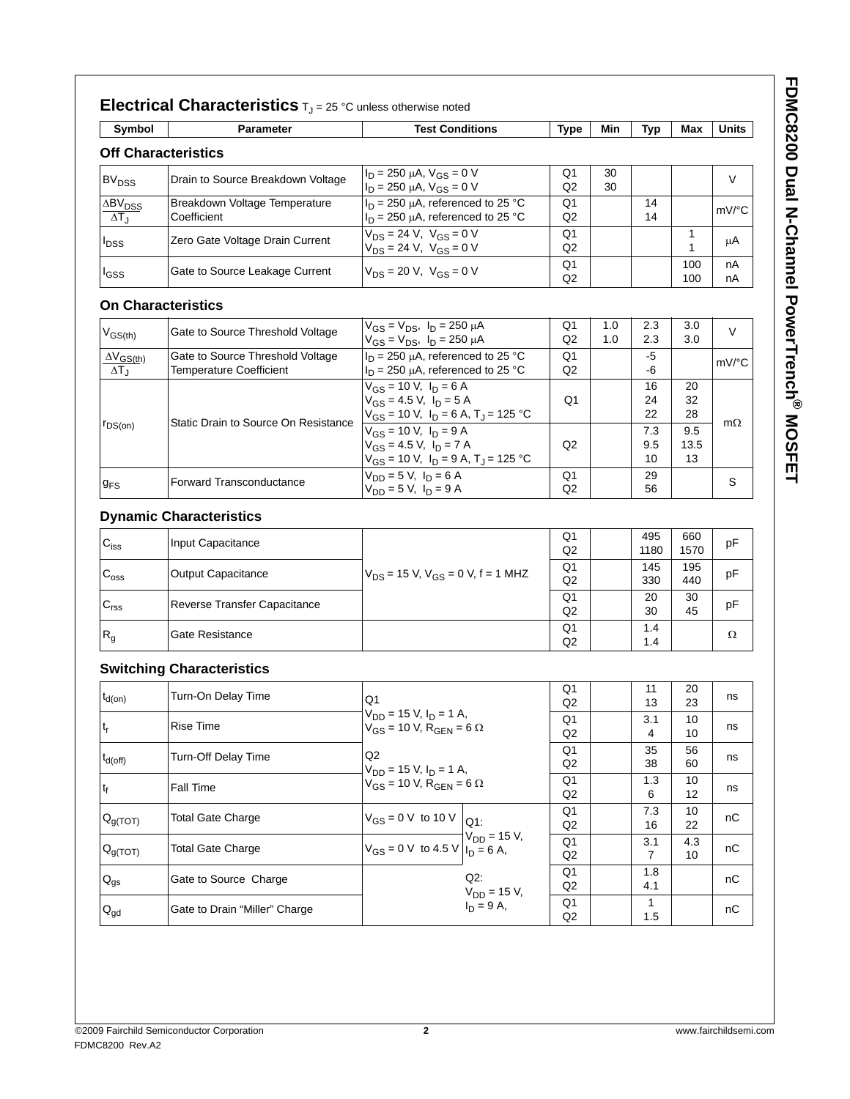| Symbol                                    | <b>Parameter</b>                                                   | <b>Test Conditions</b>                                                                                                  | <b>Type</b>                      | Min        | <b>Typ</b>       | Max               | <b>Units</b> |
|-------------------------------------------|--------------------------------------------------------------------|-------------------------------------------------------------------------------------------------------------------------|----------------------------------|------------|------------------|-------------------|--------------|
|                                           | <b>Off Characteristics</b>                                         |                                                                                                                         |                                  |            |                  |                   |              |
| <b>BV<sub>DSS</sub></b>                   | Drain to Source Breakdown Voltage                                  | $I_D = 250 \mu A$ , $V_{GS} = 0 V$<br>$I_D = 250 \mu A$ , $V_{GS} = 0 V$                                                | Q1<br>Q2                         | 30<br>30   |                  |                   | $\vee$       |
| $\Delta BV_{DSS}$<br>$\Delta T_{\rm J}$   | Breakdown Voltage Temperature<br>Coefficient                       | $I_D$ = 250 µA, referenced to 25 °C<br>$I_D$ = 250 µA, referenced to 25 °C                                              | O <sub>1</sub><br>Q2             |            | 14<br>14         |                   | mV/°C        |
| <sup>I</sup> DSS                          | Zero Gate Voltage Drain Current                                    | $V_{DS} = 24 V$ , $V_{GS} = 0 V$<br>$V_{DS}$ = 24 V, $V_{GS}$ = 0 V                                                     | Q <sub>1</sub><br>Q <sub>2</sub> |            |                  | 1<br>1            | μA           |
| <sup>I</sup> GSS                          | Gate to Source Leakage Current                                     | $V_{DS} = 20 V$ , $V_{GS} = 0 V$                                                                                        | Q <sub>1</sub><br>Q2             |            |                  | 100<br>100        | nA<br>nA     |
|                                           | <b>On Characteristics</b>                                          |                                                                                                                         |                                  |            |                  |                   |              |
| $V_{GS(th)}$                              | Gate to Source Threshold Voltage                                   | $V_{GS} = V_{DS}$ , $I_D = 250 \mu A$<br>$V_{GS} = V_{DS}$ , $I_D = 250 \mu A$                                          | Q1<br>Q2                         | 1.0<br>1.0 | 2.3<br>2.3       | 3.0<br>3.0        | $\vee$       |
| $\Delta V_{GS(th)}$<br>$\Delta T_{\rm J}$ | Gate to Source Threshold Voltage<br><b>Temperature Coefficient</b> | $I_D$ = 250 µA, referenced to 25 °C<br>$I_D$ = 250 µA, referenced to 25 °C                                              | Q <sub>1</sub><br>Q2             |            | -5<br>-6         |                   | mV/°C        |
|                                           | Static Drain to Source On Resistance                               | $V_{GS}$ = 10 V, $I_D$ = 6 A<br>$V_{GS} = 4.5 V$ , $I_D = 5 A$<br>$V_{GS}$ = 10 V, $I_D$ = 6 A, T <sub>J</sub> = 125 °C | Q1                               |            | 16<br>24<br>22   | 20<br>32<br>28    |              |
| $r_{DS(on)}$                              |                                                                    | $V_{GS}$ = 10 V, $I_D$ = 9 A<br>$V_{GS} = 4.5 V, I_D = 7 A$<br>$V_{GS}$ = 10 V, $I_D$ = 9 A, T <sub>J</sub> = 125 °C    | Q2                               |            | 7.3<br>9.5<br>10 | 9.5<br>13.5<br>13 | $m\Omega$    |
| $g_{FS}$                                  | <b>Forward Transconductance</b>                                    | $V_{DD} = 5 V$ , $I_D = 6 A$<br>$V_{DD} = 5 V$ , $I_D = 9 A$                                                            | Q <sub>1</sub><br>Q2             |            | 29<br>56         |                   | S            |

### **Dynamic Characteristics**

| $C_{iss}$        | Input Capacitance            |                                                   | Q <sub>1</sub><br>Q <sub>2</sub> | 495<br>1180 | 660<br>1570 | pF |
|------------------|------------------------------|---------------------------------------------------|----------------------------------|-------------|-------------|----|
| $C_{\text{oss}}$ | <b>Output Capacitance</b>    | $V_{DS}$ = 15 V, V <sub>GS</sub> = 0 V, f = 1 MHZ | Q1<br>Q <sub>2</sub>             | 145<br>330  | 195<br>440  | pF |
| C <sub>rss</sub> | Reverse Transfer Capacitance |                                                   | Q <sub>1</sub><br>Q2             | 20<br>30    | 30<br>45    | pF |
| $R_g$            | Gate Resistance              |                                                   | Q1<br>Q <sub>2</sub>             | 1.4<br>1.4  |             | Ω  |

### **Switching Characteristics**

| $t_{d(on)}$                | Turn-On Delay Time            | Q1                                                                              |                                    | Q <sub>1</sub><br>Q <sub>2</sub> | 11<br>13   | 20<br>23  | ns |
|----------------------------|-------------------------------|---------------------------------------------------------------------------------|------------------------------------|----------------------------------|------------|-----------|----|
| $t_{r}$                    | Rise Time                     | $V_{DD}$ = 15 V, $I_D$ = 1 A,<br>$V_{GS}$ = 10 V, R <sub>GEN</sub> = 6 $\Omega$ |                                    | Q <sub>1</sub><br>Q2             | 3.1<br>4   | 10<br>10  | ns |
| $t_{d(off)}$               | <b>Turn-Off Delay Time</b>    | Q2<br>$V_{DD}$ = 15 V, $I_D$ = 1 A,                                             |                                    | Q <sub>1</sub><br>Q2             | 35<br>38   | 56<br>60  | ns |
| t <sub>f</sub>             | <b>Fall Time</b>              | $V_{GS}$ = 10 V, R <sub>GEN</sub> = 6 $\Omega$                                  |                                    | Q1<br>Q <sub>2</sub>             | 1.3<br>6   | 10<br>12  | ns |
| $Q_{g(TOT)}$               | <b>Total Gate Charge</b>      | $V_{GS} = 0$ V to 10 V $ _{Q1}$ .                                               |                                    | Q1<br>Q2                         | 7.3<br>16  | 10<br>22  | nC |
| $ Q_{g(TOT)} $             | <b>Total Gate Charge</b>      | $V_{GS} = 0$ V to 4.5 V $I_D = 6$ A,                                            | $\mathsf{V}_{\mathsf{DD}}$ = 15 V, | Q <sub>1</sub><br>Q2             | 3.1<br>7   | 4.3<br>10 | nC |
| $\mathsf{Q}_{\mathsf{gs}}$ | Gate to Source Charge         |                                                                                 | $Q2$ :                             | Q1<br>Q2                         | 1.8<br>4.1 |           | nC |
| $\mathsf{Q}_{\mathsf{gd}}$ | Gate to Drain "Miller" Charge | $V_{DD} = 15 V$ ,<br>$I_D = 9 A$ ,                                              |                                    | Q1<br>Q2                         | 1.5        |           | nC |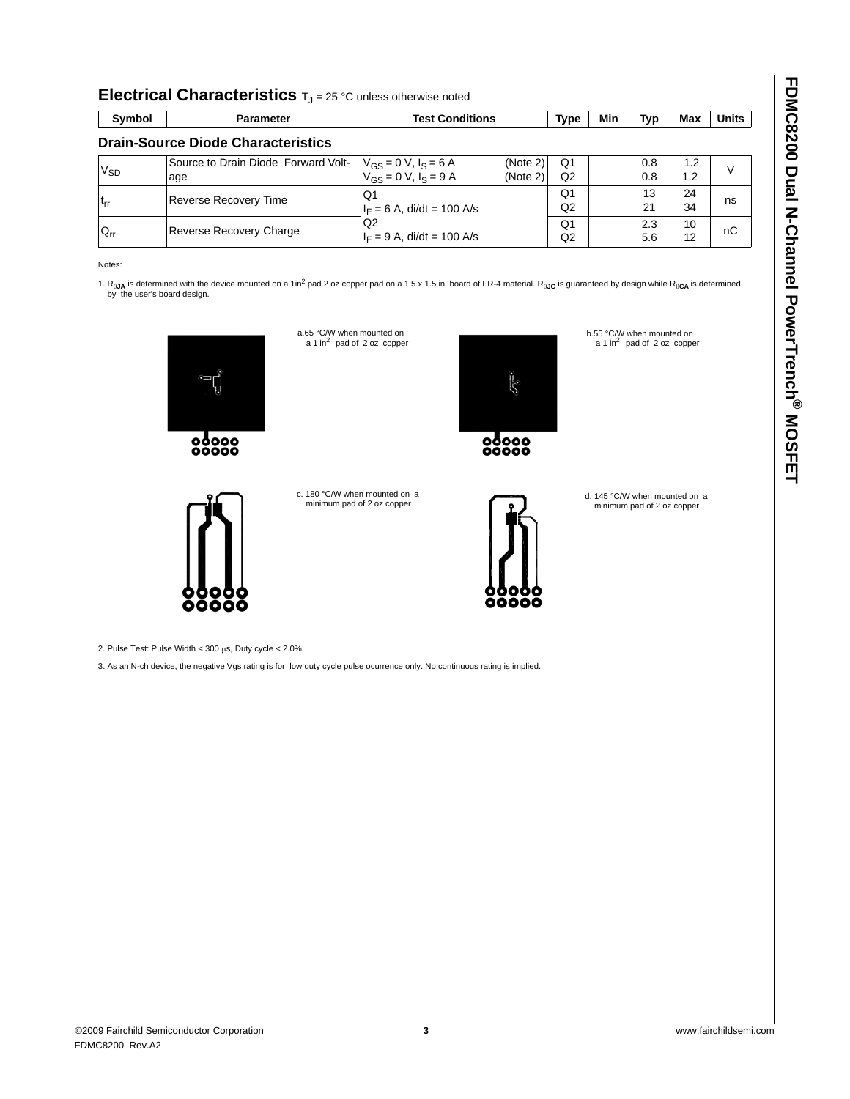| -<br> <br> <br> |
|-----------------|
|                 |
|                 |
| ľ               |
|                 |
|                 |
| .<br>.<br>.     |
|                 |
| l               |
|                 |
| $\mathbf{r}$    |
| :               |
| l               |
| I               |
|                 |
| i               |
| ֡֡֡֡֡֡<br>I     |
|                 |
|                 |
|                 |
| ١<br>j          |
|                 |
|                 |
| ;<br>(          |
|                 |
|                 |
|                 |

|                 | <b>Electrical Characteristics</b> $T_{J} = 25$ °C unless otherwise noted |                                                            |          |                |     |     |     |              |
|-----------------|--------------------------------------------------------------------------|------------------------------------------------------------|----------|----------------|-----|-----|-----|--------------|
| Symbol          | <b>Parameter</b>                                                         | <b>Test Conditions</b>                                     |          | <b>Type</b>    | Min | Typ | Max | <b>Units</b> |
|                 | <b>Drain-Source Diode Characteristics</b>                                |                                                            |          |                |     |     |     |              |
|                 | Source to Drain Diode Forward Volt-                                      |                                                            | (Note 2) | Q <sub>1</sub> |     | 0.8 | 1.2 | $\vee$       |
| V <sub>SD</sub> | age                                                                      | $V_{GS} = 0$ V, $I_S = 6$ A<br>$V_{GS} = 0$ V, $I_S = 9$ A | (Note 2) | Q2             |     | 0.8 | 1.2 |              |
|                 | <b>Reverse Recovery Time</b>                                             | O1                                                         |          | Q1             |     | 13  | 24  |              |
| ւ <sub>rr</sub> |                                                                          | $I_F = 6$ A, di/dt = 100 A/s                               |          | Q <sub>2</sub> |     | 21  | 34  | ns           |
|                 |                                                                          | Q2                                                         |          | Q1             |     | 2.3 | 10  | nC           |
| $Q_{rr}$        | Reverse Recovery Charge                                                  | $I_F = 9$ A, di/dt = 100 A/s                               |          | Q2             |     | 5.6 | 12  |              |

Notes:

1. R<sub>θJA</sub> is determined with the device mounted on a 1in<sup>2</sup> pad 2 oz copper pad on a 1.5 x 1.5 in. board of FR-4 material. R<sub>θJC</sub> is guaranteed by design while R<sub>θCA</sub> is determined<br>by the user's board design.



 $00000$ 

c. 180 °C/W when mounted on a minimum pad of 2 oz copper

a.65 °C/W when mounted on<br>a 1 in<sup>2</sup> pad of 2 oz copper



ومملق

 $80000$ 

d. 145 °C/W when mounted on a minimum pad of 2 oz copper

b.55 °C/W when mounted on<br>a 1 in<sup>2</sup> pad of 2 oz copper



2. Pulse Test: Pulse Width < 300 μs, Duty cycle < 2.0%.

3. As an N-ch device, the negative Vgs rating is for low duty cycle pulse ocurrence only. No continuous rating is implied.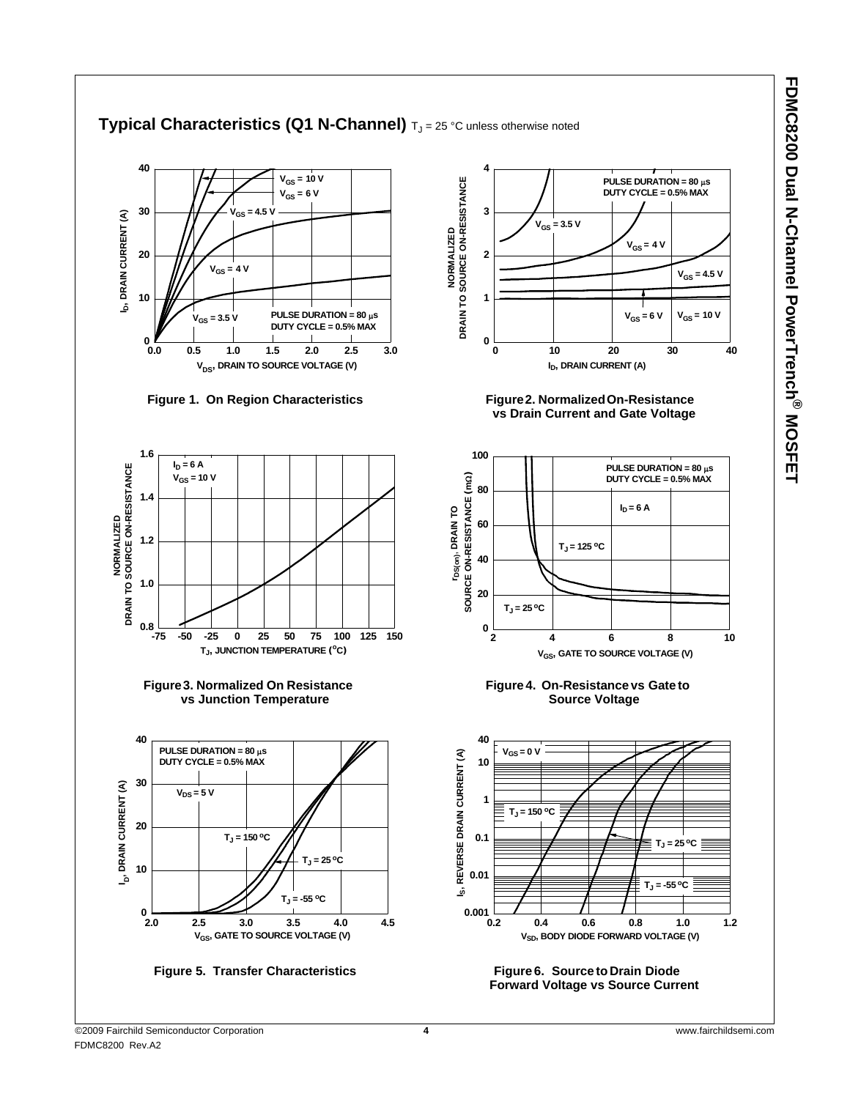#### **40 4**  $V_{GS}$  = 10 V **PULSE DURATION = 80** μ**s NORMALIZED<br>DRAIN TO SOURCE ON-RESISTANCE DRAIN TO SOURCE ON-RESISTANCE DUTY CYCLE = 0.5% MAX**  $V_{GS} = 6 V$ **30 3 V<sub>GS</sub> = 4.5 V** DRAIN CURRENT (A) **ID, DRAIN CURRENT (A)**  $V_{GS}$  = 3.5 V **NORMALIZED**  $V_{GS} = 4 V$ **20 2 V<sub>GS</sub>** = 4 **V**  $V_{GS} = 4.5 V$ **10 1** ڤ  $V_{GS}$  = 6 V  $V_{GS}$  = 10 V **PULSE DURATION = 80** μ**s**  $V_{\text{ce}} = 3.5 \text{ V}$ **DUTY CYCLE = 0.5% MAX 0 0 0.0 0.5 1.0 1.5 2.0 2.5 3.0 0 10 20 30 40 V<sub>DS</sub>, DRAIN TO SOURCE VOLTAGE (V) I<sub>D</sub>, DRAIN CURRENT (A) Figure 2. Normalized On-Resistance Figure 1. On Region Characteristics Figure 2. Figure 2. vs Drain Current and Gate Voltage 1.6 100**  $I_D = 6 A$ **PULSE DURATION = 80** μ**s** DRAIN TO SOURCE ON-RESISTANCE  **DRAIN TO SOURCE ON-RESISTANCE V<sub>GS</sub>** = 10 **V** SOURCE ON-RESISTANCE (mQ) **DUTY CYCLE = 0.5% MAX SOURCE ON-RESISTANCE (m**Ω**) 80 1.4**  $I_D = 6 A$ r<sub>DS(on)</sub>, DRAIN TO **rDS(on), DRAIN TO NORMALIZED NORMALIZED 60 1.2**  $T_J = 125 °C$ **40 1.0 20**  $T_J = 25 °C$ **0.8**  $\frac{1}{2}$ **-75 -50 -25 0 25 50 75 100 125 150 2 4 6 810 TJ, JUNCTION TEMPERATURE (oC) V<sub>GS</sub>, GATE TO SOURCE VOLTAGE (V) Figure 3. Normalized On Resistance Figure 4. On-Resistance vs Gate to vs Junction Temperature Source Voltage 40 40 PULSE DURATION = 80** μ**s VGS = 0 V** I<sub>S</sub>, REVERSE DRAIN CURRENT (A) **IS, REVERSE DRAIN CURRENT (A) DUTY CYCLE = 0.5% MAX 10 30** I<sub>D</sub>, DRAIN CURRENT (A) **D, DRAIN CURRENT (A)**  $V_{DS} = 5 V$ **1**  $T_J = 150 °C$ **20**  $T_J = 150 °C$ **0.1**  $T_J = 25 °C$  $T_J = 25 °C$ **10 0.01**  $T_J = -55 °C$  $T_J = -55 °C$  $0 - 2.0$ **0.001 2.0 2.5 3.0 3.5 4.0 4.5 0.2 0.4 0.6 0.8 1.0 1.2 V<sub>SD</sub>, BODY DIODE FORWARD VOLTAGE (V) VGS, GATE TO SOURCE VOLTAGE (V) Figure 5. Transfer Characteristics Figure 6. Source to Drain Diode Forward Voltage vs Source Current**

### **Typical Characteristics (Q1 N-Channel)**  $T_J = 25$  °C unless otherwise noted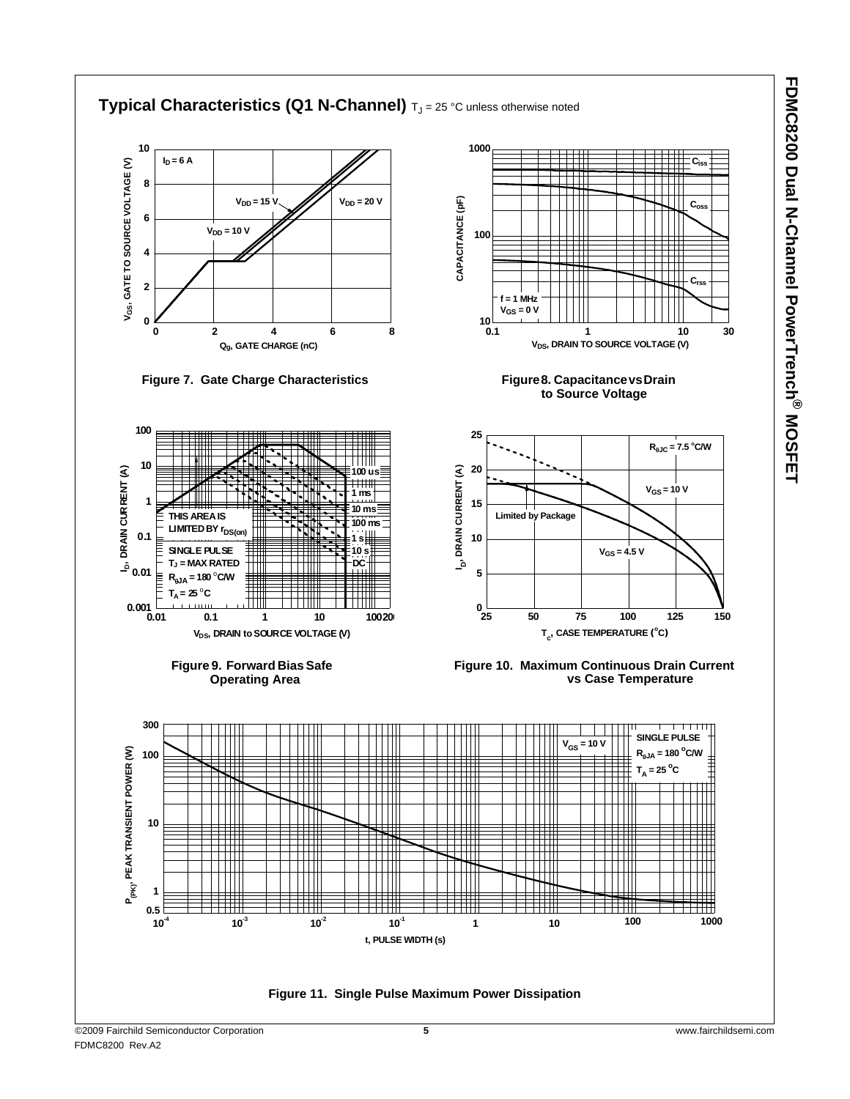

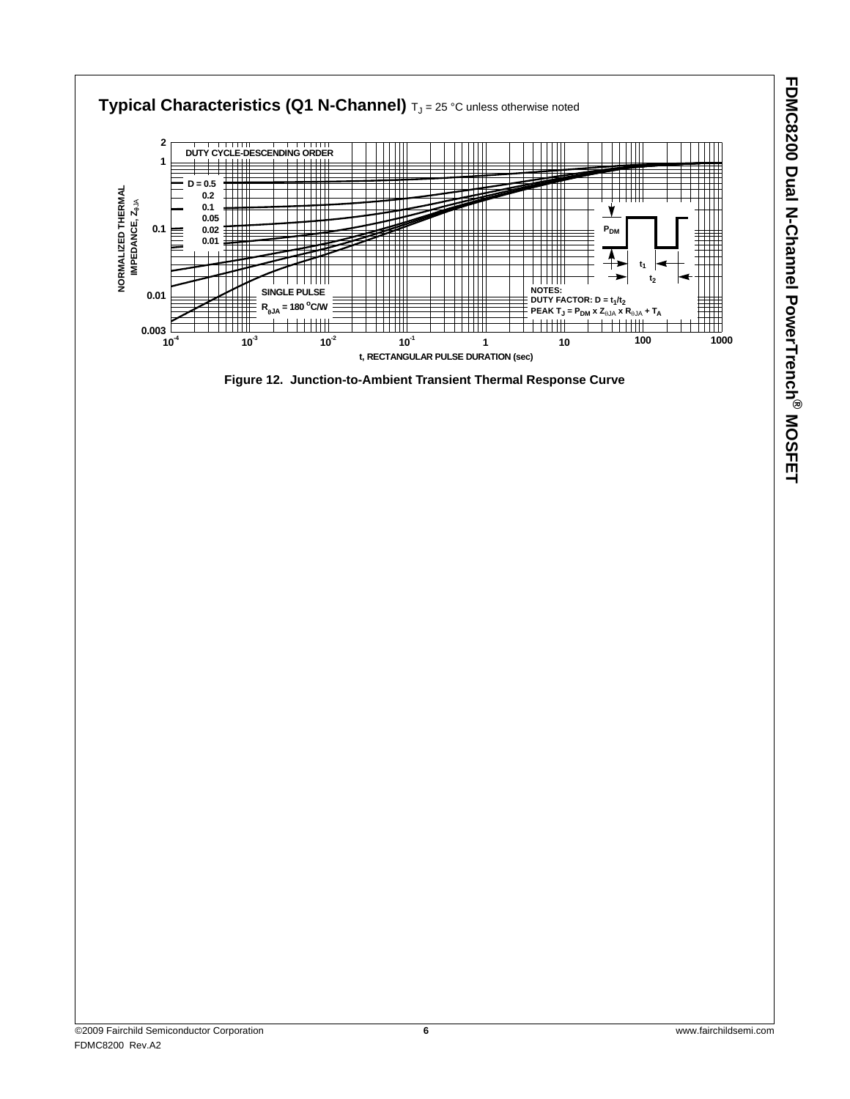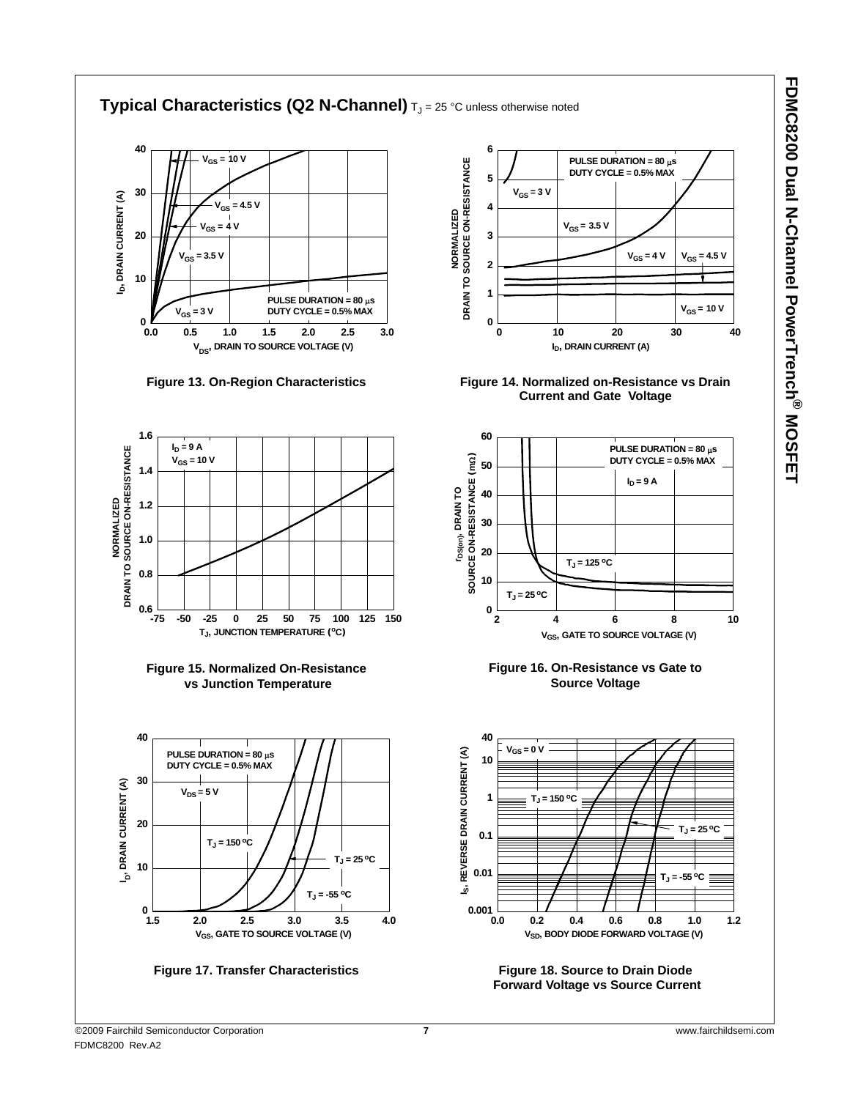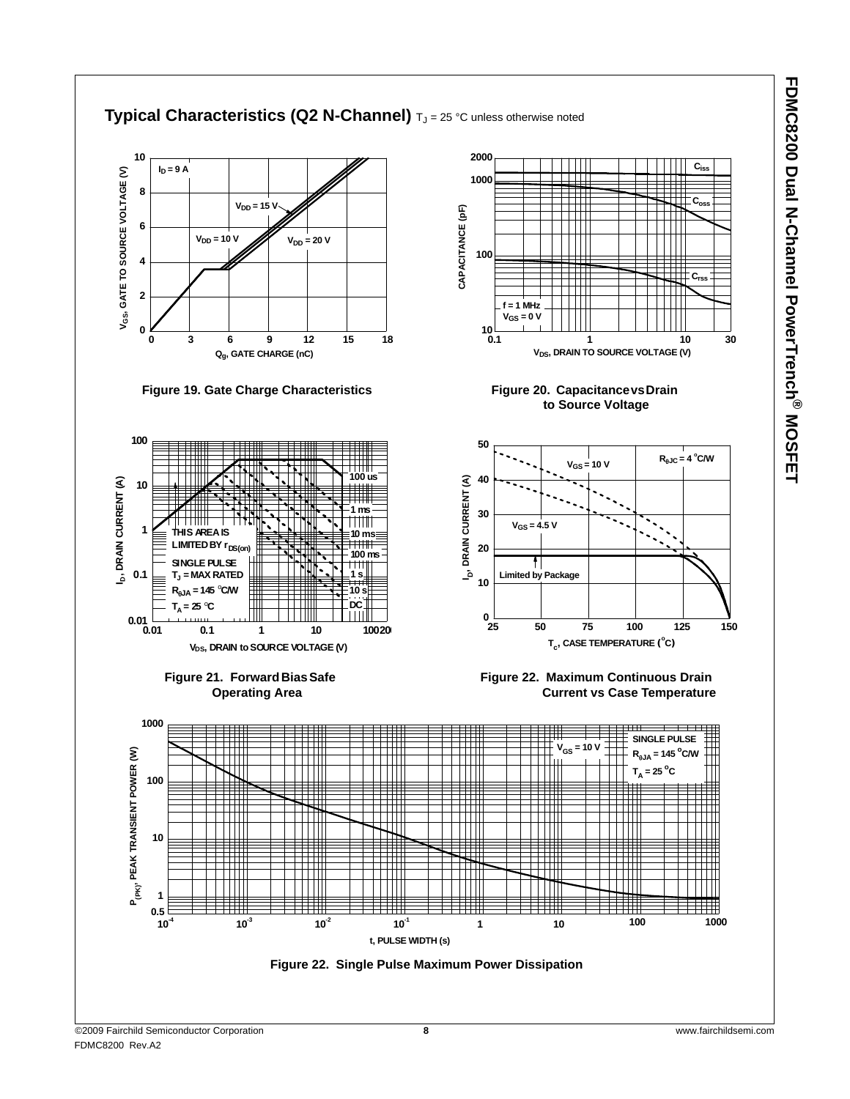

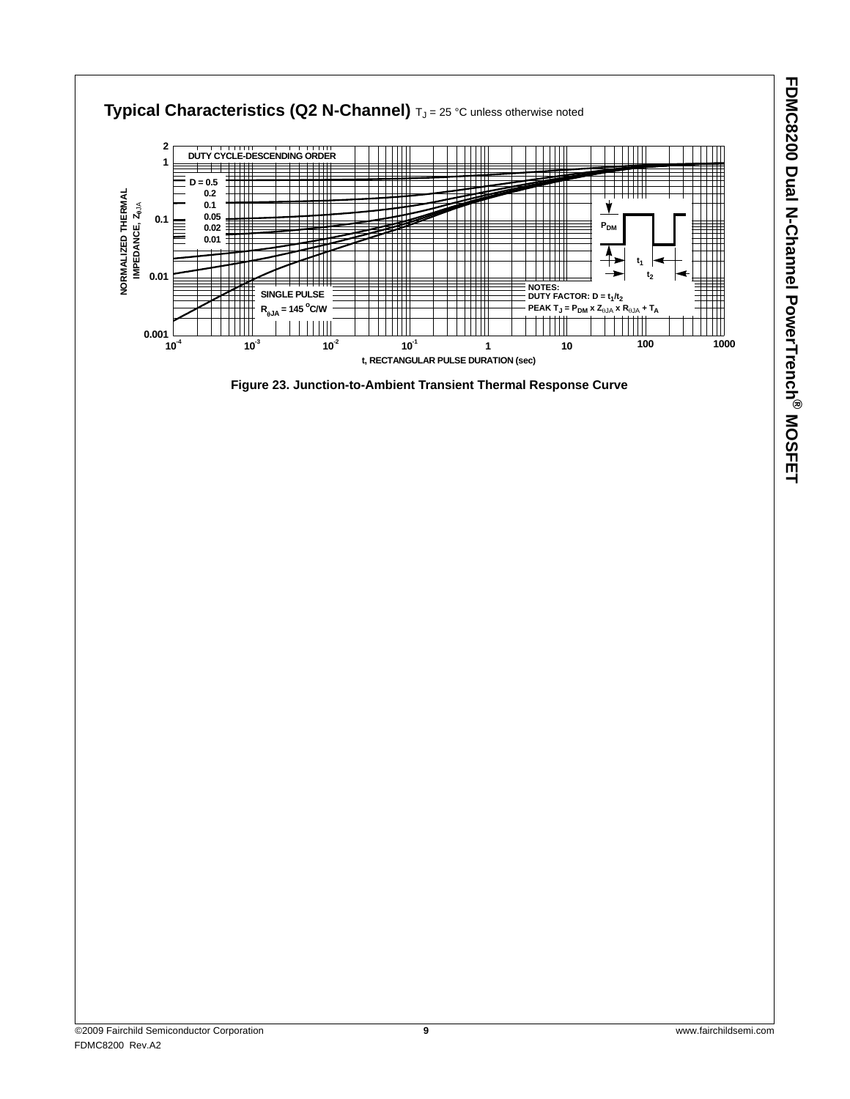

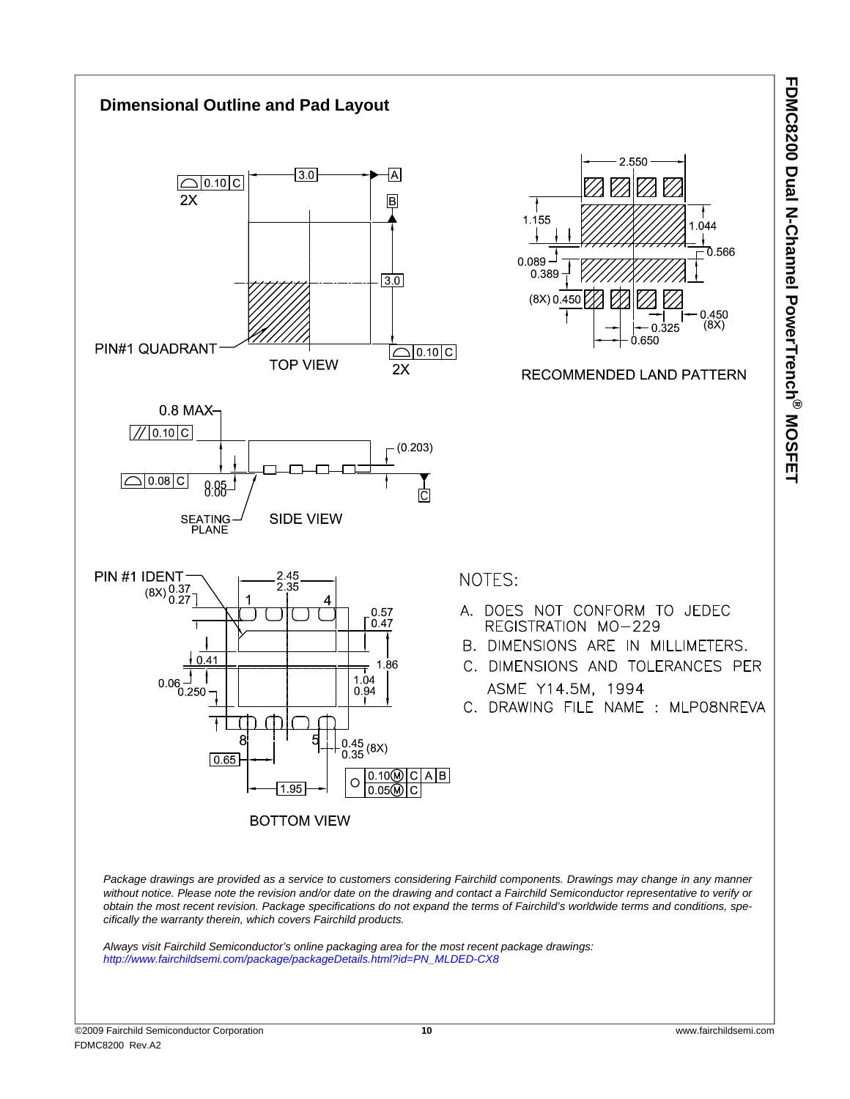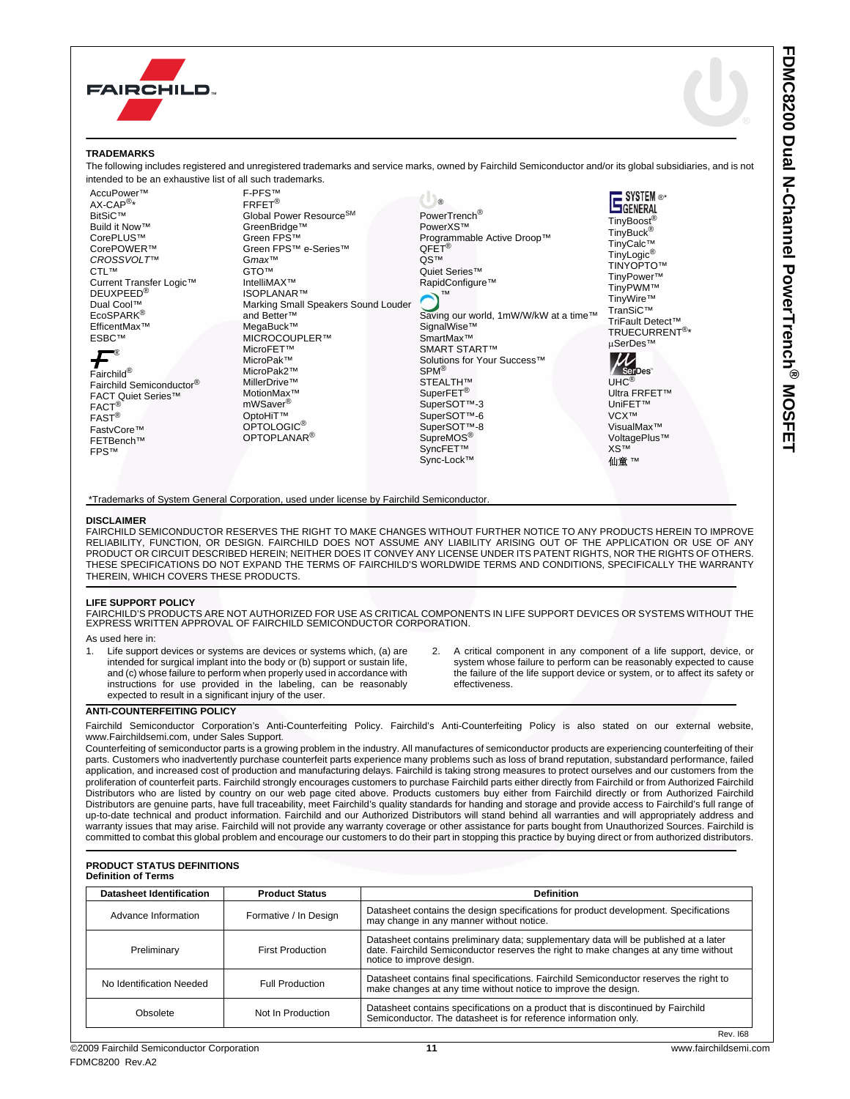



### **TRADEMARKS**

The following includes registered and unregistered trademarks and service marks, owned by Fairchild Semiconductor and/or its global subsidiaries, and is not intended to be an exhaustive list of all such trademarks.

| AccuPower™                | F-PFS™                                                                                    |                                       | $\equiv$ SYSTEM $\circ$ *                       |
|---------------------------|-------------------------------------------------------------------------------------------|---------------------------------------|-------------------------------------------------|
| AX-CAP <sup>®*</sup>      | FRFET <sup>®</sup>                                                                        | $\circledR$                           | GENERAL                                         |
| <b>BitSiC™</b>            | Global Power Resource <sup>SM</sup>                                                       | PowerTrench <sup>®</sup>              |                                                 |
| Build it Now™             | GreenBridge™                                                                              | PowerXS™                              | TinyBoost <sup>®</sup><br>TinyBuck <sup>®</sup> |
| CorePLUS™                 | Green FPS™                                                                                | Programmable Active Droop™            | TinyCalc™                                       |
| CorePOWER™                | Green FPS™ e-Series™                                                                      | $QFET^{\circledR}$                    | TinyLogic <sup>®</sup>                          |
| CROSSVOLT <sup>™</sup>    | Gmax™                                                                                     | QS™                                   | TINYOPTO™                                       |
| CTL™                      | <b>GTOTM</b>                                                                              | Quiet Series™                         | TinyPower™                                      |
| Current Transfer Logic™   | IntelliMAX™                                                                               | RapidConfigure™                       | TinyPWM™                                        |
| DEUXPEED®                 | <b>ISOPLANAR™</b>                                                                         | <b>TM</b>                             | TinyWire™                                       |
| Dual Cool™                | Marking Small Speakers Sound Louder                                                       |                                       | TranSiC™                                        |
| EcoSPARK®                 | and Better™                                                                               | Saving our world, 1mW/W/kW at a time™ | TriFault Detect™                                |
| EfficentMax™              | MegaBuck™                                                                                 | SignalWise™                           | TRUECURRENT <sup>®*</sup>                       |
| <b>ESBC™</b>              | MICROCOUPLER™                                                                             | SmartMax™                             | µSerDes™                                        |
|                           | MicroFET™                                                                                 | <b>SMART START™</b>                   |                                                 |
|                           | MicroPak™                                                                                 | Solutions for Your Success™           |                                                 |
| Fairchild®                | MicroPak2™                                                                                | SPM <sup>®</sup>                      | <b>SerDes</b>                                   |
| Fairchild Semiconductor®  | MillerDrive™                                                                              | STEALTH™                              | $UHC^{\circledR}$                               |
| <b>FACT Quiet Series™</b> | MotionMax™                                                                                | SuperFET <sup>®</sup>                 | Ultra FRFET™                                    |
| $FACT^{\circledR}$        | mWSaver <sup>®</sup>                                                                      | SuperSOT™-3                           | UniFET™                                         |
| $FAST^{\circledR}$        | OptoHiT™                                                                                  | SuperSOT™-6                           | VCX <sup>™</sup>                                |
| FastvCore™                | OPTOLOGIC <sup>®</sup>                                                                    | SuperSOT™-8                           | VisualMax™                                      |
| FETBench™                 | OPTOPLANAR <sup>®</sup>                                                                   | SupreMOS <sup>®</sup>                 | VoltagePlus™                                    |
| <b>FPSTM</b>              |                                                                                           | SyncFET™                              | <b>XS™</b>                                      |
|                           |                                                                                           | Sync-Lock™                            | 仙童™                                             |
|                           |                                                                                           |                                       |                                                 |
|                           |                                                                                           |                                       |                                                 |
|                           | *Trademarks of System General Corporation, used under license by Fairchild Semiconductor. |                                       |                                                 |
|                           |                                                                                           |                                       |                                                 |

#### **DISCLAIMER**

FAIRCHILD SEMICONDUCTOR RESERVES THE RIGHT TO MAKE CHANGES WITHOUT FURTHER NOTICE TO ANY PRODUCTS HEREIN TO IMPROVE RELIABILITY, FUNCTION, OR DESIGN. FAIRCHILD DOES NOT ASSUME ANY LIABILITY ARISING OUT OF THE APPLICATION OR USE OF ANY PRODUCT OR CIRCUIT DESCRIBED HEREIN; NEITHER DOES IT CONVEY ANY LICENSE UNDER ITS PATENT RIGHTS, NOR THE RIGHTS OF OTHERS. THESE SPECIFICATIONS DO NOT EXPAND THE TERMS OF FAIRCHILD'S WORLDWIDE TERMS AND CONDITIONS, SPECIFICALLY THE WARRANTY THEREIN, WHICH COVERS THESE PRODUCTS.

### **LIFE SUPPORT POLICY**

FAIRCHILD'S PRODUCTS ARE NOT AUTHORIZED FOR USE AS CRITICAL COMPONENTS IN LIFE SUPPORT DEVICES OR SYSTEMS WITHOUT THE EXPRESS WRITTEN APPROVAL OF FAIRCHILD SEMICONDUCTOR CORPORATION.

As used here in:

- Life support devices or systems are devices or systems which, (a) are intended for surgical implant into the body or (b) support or sustain life, and (c) whose failure to perform when properly used in accordance with instructions for use provided in the labeling, can be reasonably expected to result in a significant injury of the user.
- 2. A critical component in any component of a life support, device, or system whose failure to perform can be reasonably expected to cause the failure of the life support device or system, or to affect its safety or effectiveness.

### **ANTI-COUNTERFEITING POLICY**

Fairchild Semiconductor Corporation's Anti-Counterfeiting Policy. Fairchild's Anti-Counterfeiting Policy is also stated on our external website, www.Fairchildsemi.com, under Sales Support.

Counterfeiting of semiconductor parts is a growing problem in the industry. All manufactures of semiconductor products are experiencing counterfeiting of their parts. Customers who inadvertently purchase counterfeit parts experience many problems such as loss of brand reputation, substandard performance, failed application, and increased cost of production and manufacturing delays. Fairchild is taking strong measures to protect ourselves and our customers from the proliferation of counterfeit parts. Fairchild strongly encourages customers to purchase Fairchild parts either directly from Fairchild or from Authorized Fairchild Distributors who are listed by country on our web page cited above. Products customers buy either from Fairchild directly or from Authorized Fairchild Distributors are genuine parts, have full traceability, meet Fairchild's quality standards for handing and storage and provide access to Fairchild's full range of up-to-date technical and product information. Fairchild and our Authorized Distributors will stand behind all warranties and will appropriately address and warranty issues that may arise. Fairchild will not provide any warranty coverage or other assistance for parts bought from Unauthorized Sources. Fairchild is committed to combat this global problem and encourage our customers to do their part in stopping this practice by buying direct or from authorized distributors.

#### **PRODUCT STATUS DEFINITIONS Definition of Terms**

| <b>Datasheet Identification</b> | <b>Product Status</b>   | <b>Definition</b>                                                                                                                                                                                      |
|---------------------------------|-------------------------|--------------------------------------------------------------------------------------------------------------------------------------------------------------------------------------------------------|
| Advance Information             | Formative / In Design   | Datasheet contains the design specifications for product development. Specifications<br>may change in any manner without notice.                                                                       |
| Preliminary                     | <b>First Production</b> | Datasheet contains preliminary data; supplementary data will be published at a later date. Fairchild Semiconductor reserves the right to make changes at any time without<br>notice to improve design. |
| No Identification Needed        | <b>Full Production</b>  | Datasheet contains final specifications. Fairchild Semiconductor reserves the right to<br>make changes at any time without notice to improve the design.                                               |
| Obsolete                        | Not In Production       | Datasheet contains specifications on a product that is discontinued by Fairchild<br>Semiconductor. The datasheet is for reference information only.                                                    |
|                                 |                         | Rev I68                                                                                                                                                                                                |